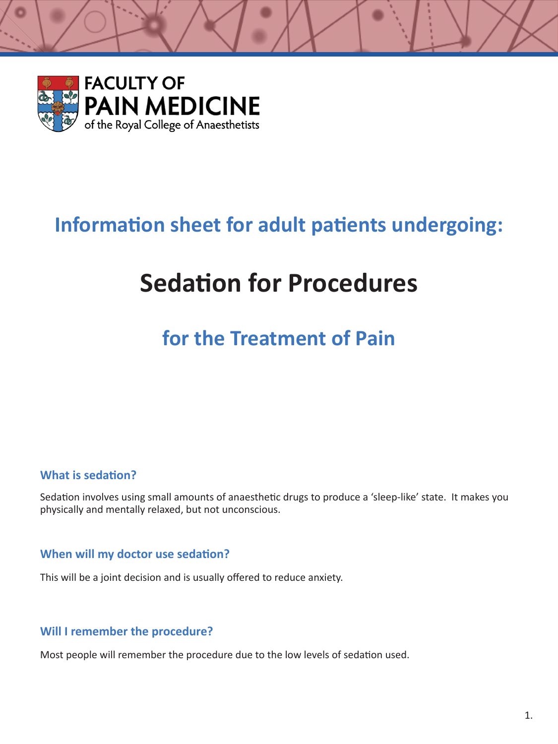

## **Information sheet for adult patients undergoing:**

# **Sedation for Procedures**

# **for the Treatment of Pain**

## **What is sedation?**

Sedation involves using small amounts of anaesthetic drugs to produce a 'sleep-like' state. It makes you physically and mentally relaxed, but not unconscious.

#### **When will my doctor use sedation?**

This will be a joint decision and is usually offered to reduce anxiety.

#### **Will I remember the procedure?**

Most people will remember the procedure due to the low levels of sedation used.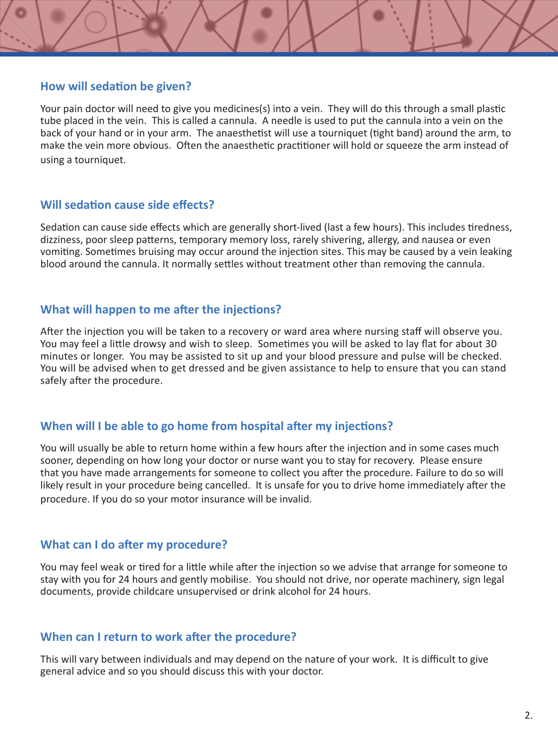#### **How will sedation be given?**

Your pain doctor will need to give you medicines(s) into a vein. They will do this through a small plastic tube placed in the vein. This is called a cannula. A needle is used to put the cannula into a vein on the back of your hand or in your arm. The anaesthetist will use a tourniquet (tight band) around the arm, to make the vein more obvious. Often the anaesthetic practitioner will hold or squeeze the arm instead of using a tourniquet.

#### **Will sedation cause side effects?**

Sedation can cause side effects which are generally short-lived (last a few hours). This includes tiredness, dizziness, poor sleep patterns, temporary memory loss, rarely shivering, allergy, and nausea or even vomiting. Sometimes bruising may occur around the injection sites. This may be caused by a vein leaking blood around the cannula. It normally settles without treatment other than removing the cannula.

#### **What will happen to me after the injections?**

After the injection you will be taken to a recovery or ward area where nursing staff will observe you. You may feel a little drowsy and wish to sleep. Sometimes you will be asked to lay flat for about 30 minutes or longer. You may be assisted to sit up and your blood pressure and pulse will be checked. You will be advised when to get dressed and be given assistance to help to ensure that you can stand safely after the procedure.

## **When will I be able to go home from hospital after my injections?**

You will usually be able to return home within a few hours after the injection and in some cases much sooner, depending on how long your doctor or nurse want you to stay for recovery. Please ensure that you have made arrangements for someone to collect you after the procedure. Failure to do so will likely result in your procedure being cancelled. It is unsafe for you to drive home immediately after the procedure. If you do so your motor insurance will be invalid.

## **What can I do after my procedure?**

You may feel weak or tired for a little while after the injection so we advise that arrange for someone to stay with you for 24 hours and gently mobilise. You should not drive, nor operate machinery, sign legal documents, provide childcare unsupervised or drink alcohol for 24 hours.

#### **When can I return to work after the procedure?**

This will vary between individuals and may depend on the nature of your work. It is difficult to give general advice and so you should discuss this with your doctor.